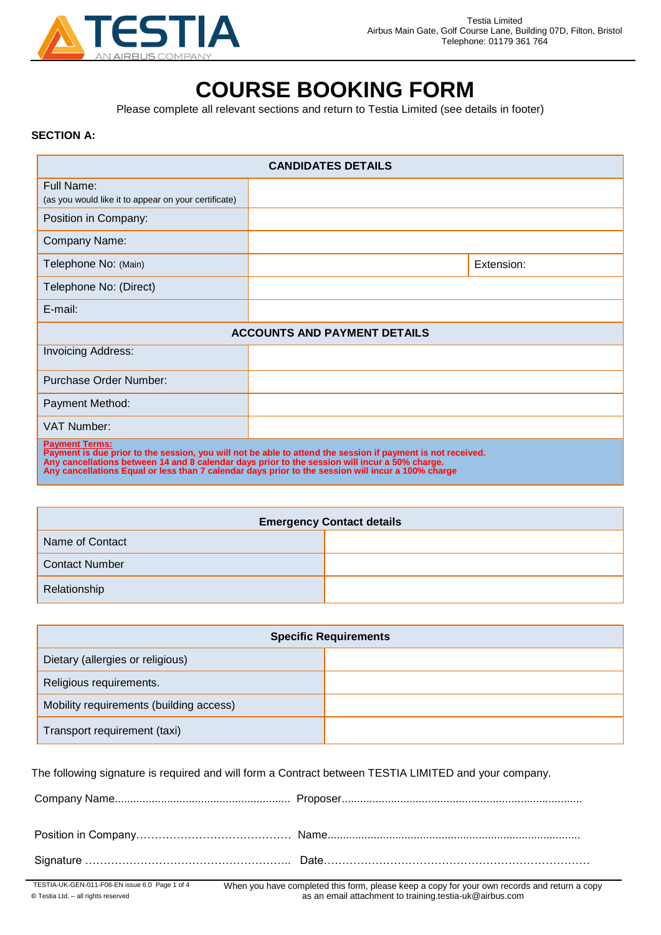

# **COURSE BOOKING FORM**

Please complete all relevant sections and return to Testia Limited (see details in footer)

#### **SECTION A:**

| <b>CANDIDATES DETAILS</b>                                                                                                                                                                                                                                                                                                                    |  |            |
|----------------------------------------------------------------------------------------------------------------------------------------------------------------------------------------------------------------------------------------------------------------------------------------------------------------------------------------------|--|------------|
| Full Name:<br>(as you would like it to appear on your certificate)                                                                                                                                                                                                                                                                           |  |            |
| Position in Company:                                                                                                                                                                                                                                                                                                                         |  |            |
| Company Name:                                                                                                                                                                                                                                                                                                                                |  |            |
| Telephone No: (Main)                                                                                                                                                                                                                                                                                                                         |  | Extension: |
| Telephone No: (Direct)                                                                                                                                                                                                                                                                                                                       |  |            |
| E-mail:                                                                                                                                                                                                                                                                                                                                      |  |            |
| <b>ACCOUNTS AND PAYMENT DETAILS</b>                                                                                                                                                                                                                                                                                                          |  |            |
| <b>Invoicing Address:</b>                                                                                                                                                                                                                                                                                                                    |  |            |
| Purchase Order Number:                                                                                                                                                                                                                                                                                                                       |  |            |
| Payment Method:                                                                                                                                                                                                                                                                                                                              |  |            |
| <b>VAT Number:</b>                                                                                                                                                                                                                                                                                                                           |  |            |
| <b>Payment Terms:</b><br>Payment is due prior to the session, you will not be able to attend the session if payment is not received.<br>Any cancellations between 14 and 8 calendar days prior to the session will incur a 50% charge.<br>Any cancellations Equal or less than 7 calendar days prior to the session will incur a 100% charge |  |            |

| <b>Emergency Contact details</b> |  |  |
|----------------------------------|--|--|
| Name of Contact                  |  |  |
| <b>Contact Number</b>            |  |  |
| Relationship                     |  |  |

| <b>Specific Requirements</b>            |  |  |
|-----------------------------------------|--|--|
| Dietary (allergies or religious)        |  |  |
| Religious requirements.                 |  |  |
| Mobility requirements (building access) |  |  |
| Transport requirement (taxi)            |  |  |

The following signature is required and will form a Contract between TESTIA LIMITED and your company.

| TESTIA-UK-GEN-011-F08-EN issue 6.0 Page 1 of 4 | When you have completed this form, please keep a copy for your own records and return a co |
|------------------------------------------------|--------------------------------------------------------------------------------------------|

**©** Testia Ltd. – all rights reserved

When you have completed this form, please keep a copy for your own records and return a copy as an email attachment to training.testia-uk@airbus.com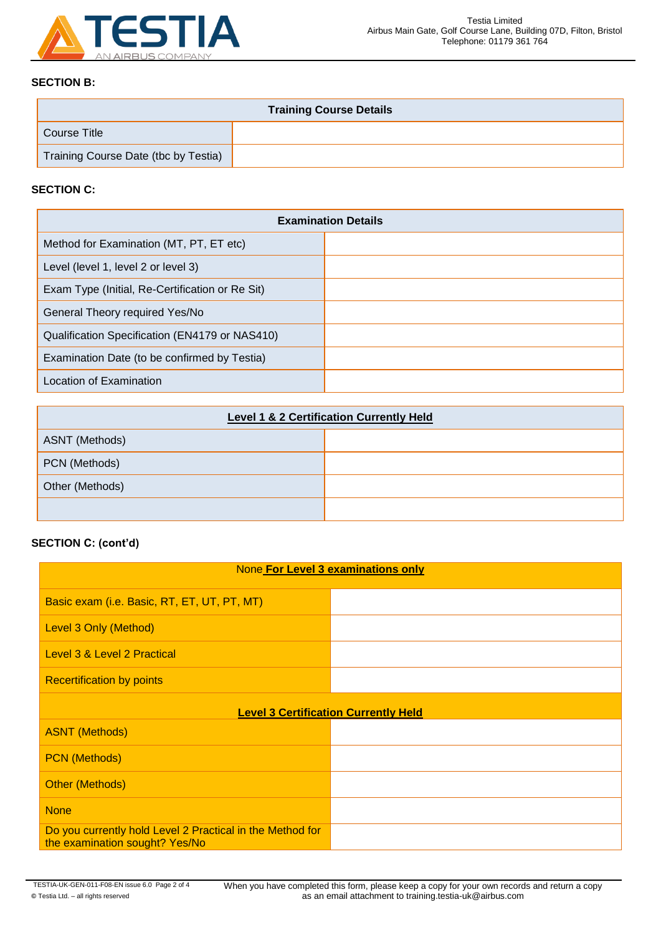

## **SECTION B:**

| <b>Training Course Details</b>       |  |  |
|--------------------------------------|--|--|
| Course Title                         |  |  |
| Training Course Date (tbc by Testia) |  |  |

## **SECTION C:**

| <b>Examination Details</b>                      |  |  |
|-------------------------------------------------|--|--|
| Method for Examination (MT, PT, ET etc)         |  |  |
| Level (level 1, level 2 or level 3)             |  |  |
| Exam Type (Initial, Re-Certification or Re Sit) |  |  |
| General Theory required Yes/No                  |  |  |
| Qualification Specification (EN4179 or NAS410)  |  |  |
| Examination Date (to be confirmed by Testia)    |  |  |
| Location of Examination                         |  |  |

| <b>Level 1 &amp; 2 Certification Currently Held</b> |  |  |
|-----------------------------------------------------|--|--|
| ASNT (Methods)                                      |  |  |
| PCN (Methods)                                       |  |  |
| Other (Methods)                                     |  |  |
|                                                     |  |  |

## **SECTION C: (cont'd)**

| None For Level 3 examinations only                                                          |  |  |
|---------------------------------------------------------------------------------------------|--|--|
| Basic exam (i.e. Basic, RT, ET, UT, PT, MT)                                                 |  |  |
| Level 3 Only (Method)                                                                       |  |  |
| <b>Level 3 &amp; Level 2 Practical</b>                                                      |  |  |
| <b>Recertification by points</b>                                                            |  |  |
| <b>Level 3 Certification Currently Held</b>                                                 |  |  |
| <b>ASNT (Methods)</b>                                                                       |  |  |
| <b>PCN</b> (Methods)                                                                        |  |  |
| <b>Other (Methods)</b>                                                                      |  |  |
| <b>None</b>                                                                                 |  |  |
| Do you currently hold Level 2 Practical in the Method for<br>the examination sought? Yes/No |  |  |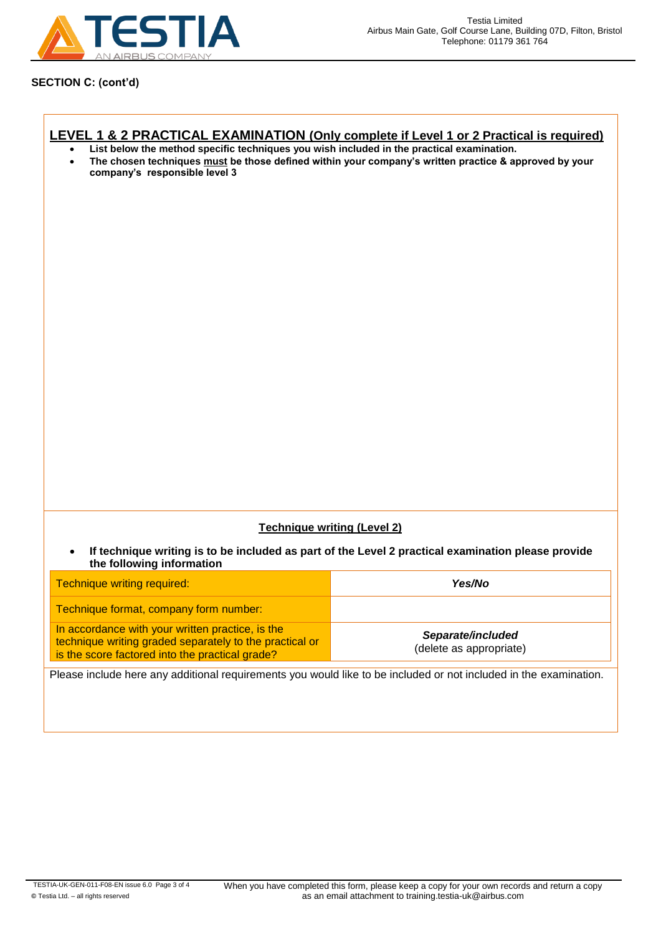

## **SECTION C: (cont'd)**

 $\mathsf{r}$ 

| LEVEL 1 & 2 PRACTICAL EXAMINATION (Only complete if Level 1 or 2 Practical is required)<br>List below the method specific techniques you wish included in the practical examination.<br>$\bullet$<br>The chosen techniques must be those defined within your company's written practice & approved by your<br>$\bullet$<br>company's responsible level 3 |                                                                                                    |  |
|----------------------------------------------------------------------------------------------------------------------------------------------------------------------------------------------------------------------------------------------------------------------------------------------------------------------------------------------------------|----------------------------------------------------------------------------------------------------|--|
|                                                                                                                                                                                                                                                                                                                                                          |                                                                                                    |  |
|                                                                                                                                                                                                                                                                                                                                                          |                                                                                                    |  |
|                                                                                                                                                                                                                                                                                                                                                          |                                                                                                    |  |
|                                                                                                                                                                                                                                                                                                                                                          |                                                                                                    |  |
|                                                                                                                                                                                                                                                                                                                                                          |                                                                                                    |  |
|                                                                                                                                                                                                                                                                                                                                                          |                                                                                                    |  |
|                                                                                                                                                                                                                                                                                                                                                          |                                                                                                    |  |
|                                                                                                                                                                                                                                                                                                                                                          |                                                                                                    |  |
|                                                                                                                                                                                                                                                                                                                                                          |                                                                                                    |  |
| <b>Technique writing (Level 2)</b>                                                                                                                                                                                                                                                                                                                       |                                                                                                    |  |
| $\bullet$<br>the following information                                                                                                                                                                                                                                                                                                                   | If technique writing is to be included as part of the Level 2 practical examination please provide |  |
| Technique writing required:                                                                                                                                                                                                                                                                                                                              | Yes/No                                                                                             |  |
| Technique format, company form number:                                                                                                                                                                                                                                                                                                                   |                                                                                                    |  |
| In accordance with your written practice, is the<br>technique writing graded separately to the practical or<br>is the score factored into the practical grade?                                                                                                                                                                                           | Separate/included<br>(delete as appropriate)                                                       |  |
| Please include here any additional requirements you would like to be included or not included in the examination.                                                                                                                                                                                                                                        |                                                                                                    |  |
|                                                                                                                                                                                                                                                                                                                                                          |                                                                                                    |  |